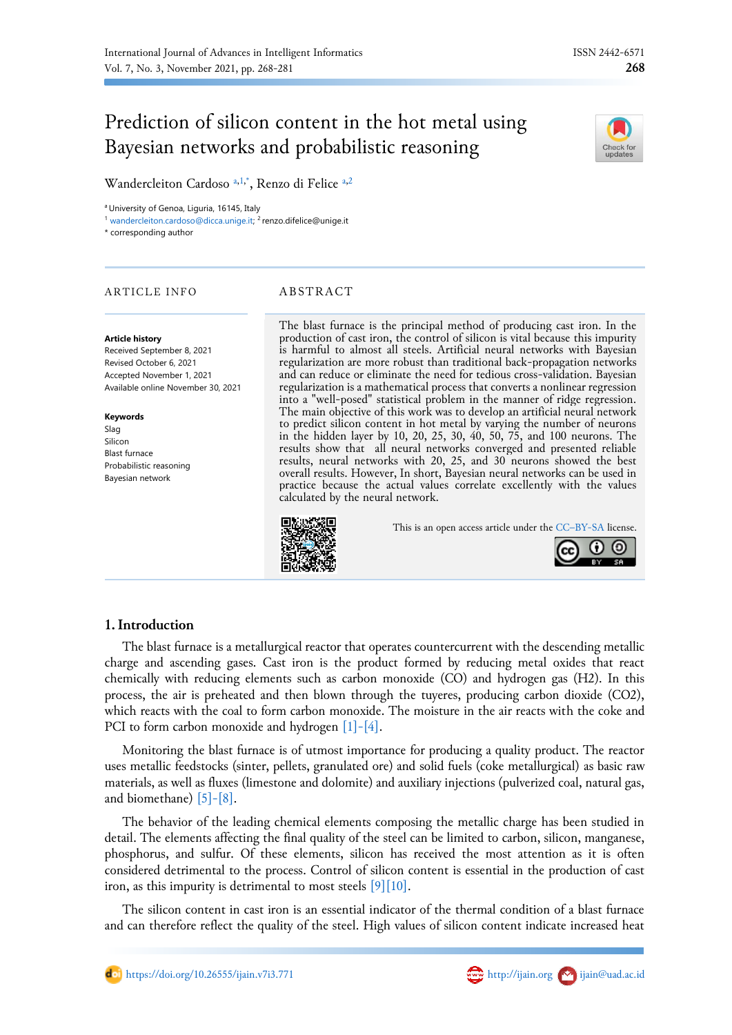# Prediction of silicon content in the hot metal using Bayesian networks and probabilistic reasoning



Wandercleiton Cardoso [a,](#page-0-0)[1](#page-0-1)[,\\*](#page-0-2), Renzo di Felice a,[2](#page-0-3)

<span id="page-0-0"></span><sup>a</sup> University of Genoa, Liguria, 16145, Italy

<span id="page-0-1"></span><sup>1</sup> [wandercleiton.cardoso@dicca.unige.it;](mailto:wandercleiton.cardoso@dicca.unige.it) <sup>2</sup> renzo.difelice@unige.it

<span id="page-0-2"></span>\* corresponding author

# ARTICLE INFO ABSTRACT

#### **Article history**

Received September 8, 2021 Revised October 6, 2021 Accepted November 1, 2021 Available online November 30, 2021

#### **Keywords**

Slag Silicon Blast furnace Probabilistic reasoning Bayesian network

<span id="page-0-3"></span>The blast furnace is the principal method of producing cast iron. In the production of cast iron, the control of silicon is vital because this impurity is harmful to almost all steels. Artificial neural networks with Bayesian regularization are more robust than traditional back-propagation networks and can reduce or eliminate the need for tedious cross-validation. Bayesian regularization is a mathematical process that converts a nonlinear regression into a "well-posed" statistical problem in the manner of ridge regression. The main objective of this work was to develop an artificial neural network to predict silicon content in hot metal by varying the number of neurons in the hidden layer by 10, 20, 25, 30, 40, 50, 75, and 100 neurons. The results show that all neural networks converged and presented reliable results, neural networks with 20, 25, and 30 neurons showed the best overall results. However, In short, Bayesian neural networks can be used in practice because the actual values correlate excellently with the values calculated by the neural network.

This is an open access article under the CC–[BY-SA](http://creativecommons.org/licenses/by-sa/4.0/) license.



# **1.Introduction**

The blast furnace is a metallurgical reactor that operates countercurrent with the descending metallic charge and ascending gases. Cast iron is the product formed by reducing metal oxides that react chemically with reducing elements such as carbon monoxide (CO) and hydrogen gas (H2). In this process, the air is preheated and then blown through the tuyeres, producing carbon dioxide (CO2), which reacts with the coal to form carbon monoxide. The moisture in the air reacts with the coke and PCI to form carbon monoxide and hydrogen [\[1\]-\[4\].](#page-10-0)

Monitoring the blast furnace is of utmost importance for producing a quality product. The reactor uses metallic feedstocks (sinter, pellets, granulated ore) and solid fuels (coke metallurgical) as basic raw materials, as well as fluxes (limestone and dolomite) and auxiliary injections (pulverized coal, natural gas, and biomethane) [\[5\]-\[8\].](#page-10-1)

The behavior of the leading chemical elements composing the metallic charge has been studied in detail. The elements affecting the final quality of the steel can be limited to carbon, silicon, manganese, phosphorus, and sulfur. Of these elements, silicon has received the most attention as it is often considered detrimental to the process. Control of silicon content is essential in the production of cast iron, as this impurity is detrimental to most steels  $[9][10]$ .

The silicon content in cast iron is an essential indicator of the thermal condition of a blast furnace and can therefore reflect the quality of the steel. High values of silicon content indicate increased heat

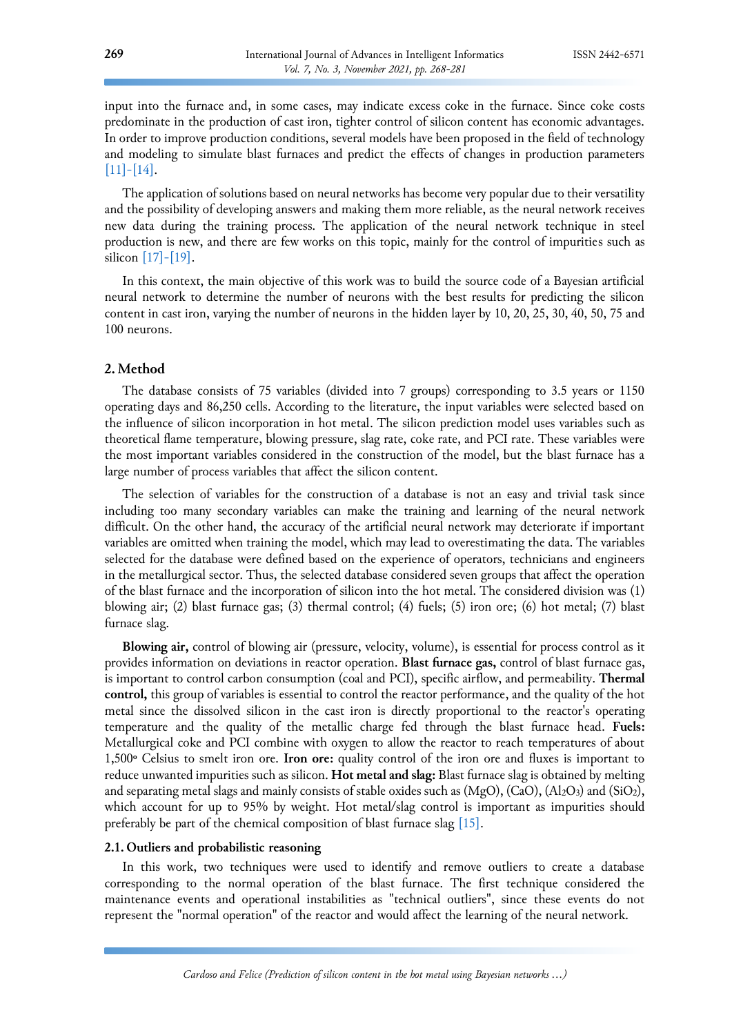input into the furnace and, in some cases, may indicate excess coke in the furnace. Since coke costs predominate in the production of cast iron, tighter control of silicon content has economic advantages. In order to improve production conditions, several models have been proposed in the field of technology and modeling to simulate blast furnaces and predict the effects of changes in production parameters  $[11]$ - $[14]$ .

The application of solutions based on neural networks has become very popular due to their versatility and the possibility of developing answers and making them more reliable, as the neural network receives new data during the training process. The application of the neural network technique in steel production is new, and there are few works on this topic, mainly for the control of impurities such as silicon [\[17\]-\[19\].](#page-11-0)

In this context, the main objective of this work was to build the source code of a Bayesian artificial neural network to determine the number of neurons with the best results for predicting the silicon content in cast iron, varying the number of neurons in the hidden layer by 10, 20, 25, 30, 40, 50, 75 and 100 neurons.

# **2. Method**

The database consists of 75 variables (divided into 7 groups) corresponding to 3.5 years or 1150 operating days and 86,250 cells. According to the literature, the input variables were selected based on the influence of silicon incorporation in hot metal. The silicon prediction model uses variables such as theoretical flame temperature, blowing pressure, slag rate, coke rate, and PCI rate. These variables were the most important variables considered in the construction of the model, but the blast furnace has a large number of process variables that affect the silicon content.

The selection of variables for the construction of a database is not an easy and trivial task since including too many secondary variables can make the training and learning of the neural network difficult. On the other hand, the accuracy of the artificial neural network may deteriorate if important variables are omitted when training the model, which may lead to overestimating the data. The variables selected for the database were defined based on the experience of operators, technicians and engineers in the metallurgical sector. Thus, the selected database considered seven groups that affect the operation of the blast furnace and the incorporation of silicon into the hot metal. The considered division was (1) blowing air; (2) blast furnace gas; (3) thermal control; (4) fuels; (5) iron ore; (6) hot metal; (7) blast furnace slag.

**Blowing air,** control of blowing air (pressure, velocity, volume), is essential for process control as it provides information on deviations in reactor operation. **Blast furnace gas,** control of blast furnace gas, is important to control carbon consumption (coal and PCI), specific airflow, and permeability. **Thermal control,** this group of variables is essential to control the reactor performance, and the quality of the hot metal since the dissolved silicon in the cast iron is directly proportional to the reactor's operating temperature and the quality of the metallic charge fed through the blast furnace head. **Fuels:** Metallurgical coke and PCI combine with oxygen to allow the reactor to reach temperatures of about 1,500º Celsius to smelt iron ore. **Iron ore:** quality control of the iron ore and fluxes is important to reduce unwanted impurities such as silicon. **Hot metal and slag:** Blast furnace slag is obtained by melting and separating metal slags and mainly consists of stable oxides such as (MgO), (CaO), (Al2O3) and (SiO2), which account for up to 95% by weight. Hot metal/slag control is important as impurities should preferably be part of the chemical composition of blast furnace slag [\[15\].](#page-11-1)

## **2.1. Outliers and probabilistic reasoning**

In this work, two techniques were used to identify and remove outliers to create a database corresponding to the normal operation of the blast furnace. The first technique considered the maintenance events and operational instabilities as "technical outliers", since these events do not represent the "normal operation" of the reactor and would affect the learning of the neural network.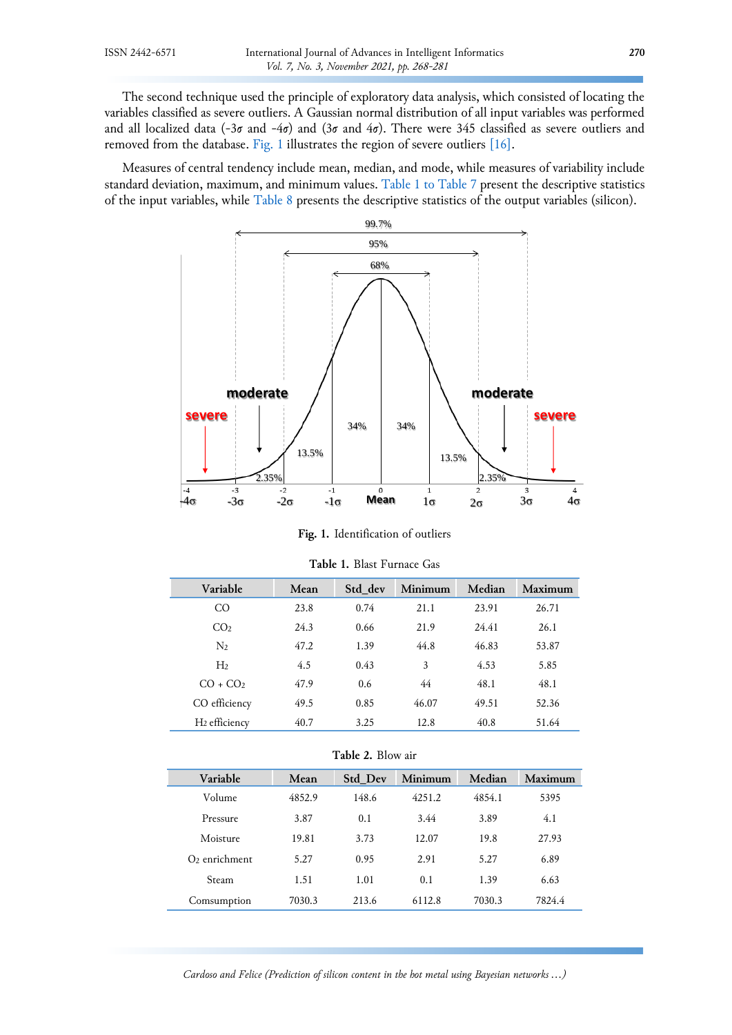The second technique used the principle of exploratory data analysis, which consisted of locating the variables classified as severe outliers. A Gaussian normal distribution of all input variables was performed and all localized data (-3σ and -4σ) and (3σ and 4σ). There were 345 classified as severe outliers and removed from the database. [Fig.](#page-2-0) 1 illustrates the region of severe outliers [\[16\].](#page-11-2)

<span id="page-2-0"></span>Measures of central tendency include mean, median, and mode, while measures of variability include standard deviation, maximum, and minimum values. [Table](#page-2-1) 1 to Table 7 present the descriptive statistics of the input variables, while [Table 8](#page-4-0) presents the descriptive statistics of the output variables (silicon).



**Fig. 1.** Identification of outliers

<span id="page-2-1"></span>

| Variable         | Mean | Std dev | Minimum | Median | Maximum |
|------------------|------|---------|---------|--------|---------|
| CΟ               | 23.8 | 0.74    | 21.1    | 23.91  | 26.71   |
| CO <sub>2</sub>  | 24.3 | 0.66    | 21.9    | 24.41  | 26.1    |
| $\rm N_2$        | 47.2 | 1.39    | 44.8    | 46.83  | 53.87   |
| H <sub>2</sub>   | 4.5  | 0.43    | 3       | 4.53   | 5.85    |
| $CO + CO2$       | 47.9 | 0.6     | 44      | 48.1   | 48.1    |
| CO efficiency    | 49.5 | 0.85    | 46.07   | 49.51  | 52.36   |
| $H_2$ efficiency | 40.7 | 3.25    | 12.8    | 40.8   | 51.64   |

**Table 1.** Blast Furnace Gas

**Table 2.** Blow air

| Variable        | Mean   | <b>Std Dev</b> | Minimum | Median | Maximum |
|-----------------|--------|----------------|---------|--------|---------|
| Volume          | 4852.9 | 148.6          | 4251.2  | 4854.1 | 5395    |
| Pressure        | 3.87   | 0.1            | 3.44    | 3.89   | 4.1     |
| Moisture        | 19.81  | 3.73           | 12.07   | 19.8   | 27.93   |
| $O2$ enrichment | 5.27   | 0.95           | 2.91    | 5.27   | 6.89    |
| Steam           | 1.51   | 1.01           | 0.1     | 1.39   | 6.63    |
| Comsumption     | 7030.3 | 213.6          | 6112.8  | 7030.3 | 7824.4  |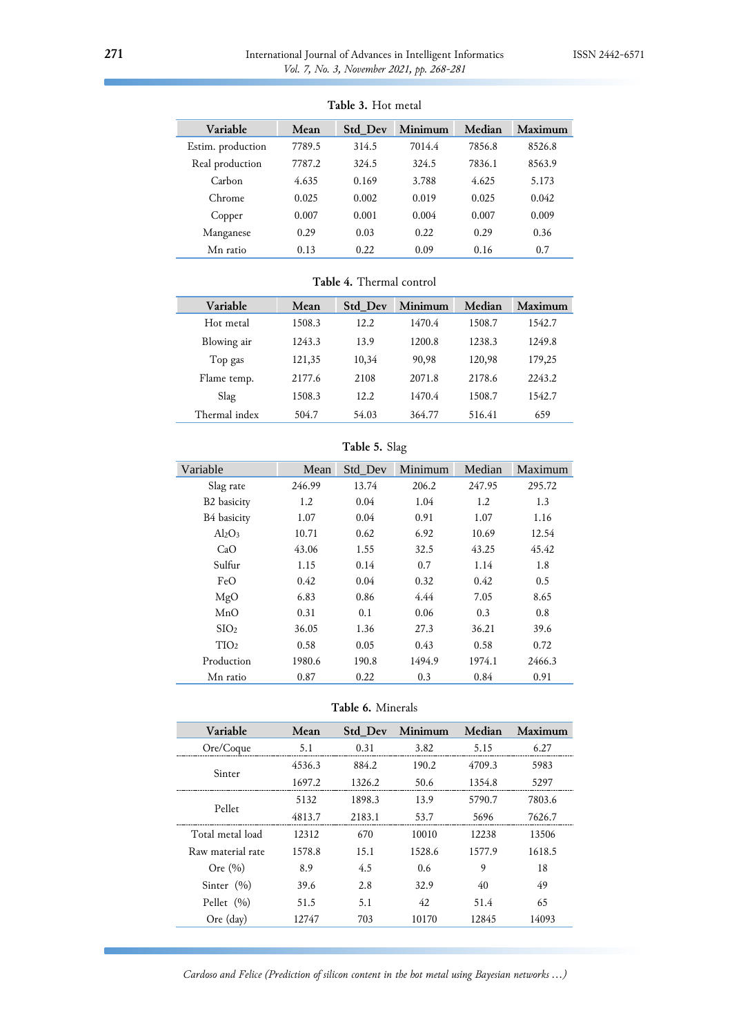| Variable          | Mean   | Std_Dev | Minimum | Median | Maximum |
|-------------------|--------|---------|---------|--------|---------|
| Estim. production | 7789.5 | 314.5   | 7014.4  | 7856.8 | 8526.8  |
| Real production   | 7787.2 | 324.5   | 324.5   | 7836.1 | 8563.9  |
| Carbon            | 4.635  | 0.169   | 3.788   | 4.625  | 5.173   |
| Chrome            | 0.025  | 0.002   | 0.019   | 0.025  | 0.042   |
| Copper            | 0.007  | 0.001   | 0.004   | 0.007  | 0.009   |
| Manganese         | 0.29   | 0.03    | 0.22    | 0.29   | 0.36    |
| Mn ratio          | 0.13   | 0.22    | 0.09    | 0.16   | 0.7     |

# **Table 3.** Hot metal

# **Table 4.** Thermal control

| Variable      | Mean   | <b>Std Dev</b> | Minimum | Median | Maximum |
|---------------|--------|----------------|---------|--------|---------|
| Hot metal     | 1508.3 | 12.2           | 1470.4  | 1508.7 | 1542.7  |
| Blowing air   | 1243.3 | 13.9           | 1200.8  | 1238.3 | 1249.8  |
| Top gas       | 121,35 | 10,34          | 90,98   | 120,98 | 179,25  |
| Flame temp.   | 2177.6 | 2108           | 2071.8  | 2178.6 | 2243.2  |
| Slag          | 1508.3 | 12.2           | 1470.4  | 1508.7 | 1542.7  |
| Thermal index | 504.7  | 54.03          | 364.77  | 516.41 | 659     |

# **Table 5.** Slag

| Variable                | Mean   | Std Dev | Minimum | Median | Maximum |
|-------------------------|--------|---------|---------|--------|---------|
| Slag rate               | 246.99 | 13.74   | 206.2   | 247.95 | 295.72  |
| B <sub>2</sub> basicity | 1.2    | 0.04    | 1.04    | 1.2    | 1.3     |
| B4 basicity             | 1.07   | 0.04    | 0.91    | 1.07   | 1.16    |
| $Al_2O_3$               | 10.71  | 0.62    | 6.92    | 10.69  | 12.54   |
| CaO                     | 43.06  | 1.55    | 32.5    | 43.25  | 45.42   |
| Sulfur                  | 1.15   | 0.14    | 0.7     | 1.14   | 1.8     |
| FeO                     | 0.42   | 0.04    | 0.32    | 0.42   | 0.5     |
| MgO                     | 6.83   | 0.86    | 4.44    | 7.05   | 8.65    |
| MnO                     | 0.31   | 0.1     | 0.06    | 0.3    | 0.8     |
| SIO <sub>2</sub>        | 36.05  | 1.36    | 27.3    | 36.21  | 39.6    |
| TIO <sub>2</sub>        | 0.58   | 0.05    | 0.43    | 0.58   | 0.72    |
| Production              | 1980.6 | 190.8   | 1494.9  | 1974.1 | 2466.3  |
| Mn ratio                | 0.87   | 0.22    | 0.3     | 0.84   | 0.91    |

**Table 6.** Minerals

| Variable          | Mean   | <b>Std Dev</b> | Minimum | Median | Maximum |
|-------------------|--------|----------------|---------|--------|---------|
| Ore/Coque         | 5.1    | 0.31           | 3.82    | 5.15   | 6.27    |
| Sinter            | 4536.3 | 884.2          | 190.2   | 4709.3 | 5983    |
|                   | 1697.2 | 1326.2         | 50.6    | 1354.8 | 5297    |
|                   | 5132   | 1898.3         | 13.9    | 5790.7 | 7803.6  |
| Pellet            | 4813.7 | 2183.1         | 53.7    | 5696   | 7626.7  |
| Total metal load  | 12312  | 670            | 10010   | 12238  | 13506   |
| Raw material rate | 1578.8 | 15.1           | 1528.6  | 1577.9 | 1618.5  |
| Ore $(\% )$       | 8.9    | 4.5            | 0.6     | 9      | 18      |
| Sinter $(\% )$    | 39.6   | 2.8            | 32.9    | 40     | 49      |
| Pellet $(\% )$    | 51.5   | 5.1            | 42      | 51.4   | 65      |
| Ore (day)         | 12747  | 703            | 10170   | 12845  | 14093   |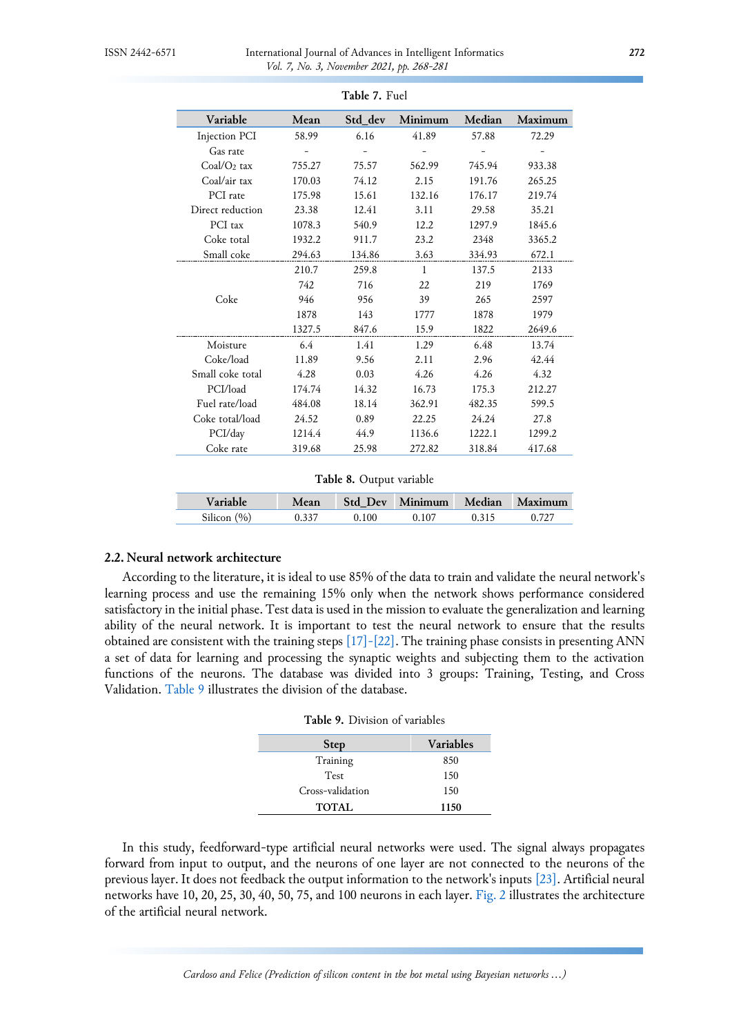| Variable                | Mean   | Std_dev | Minimum      | Median | Maximum |
|-------------------------|--------|---------|--------------|--------|---------|
| Injection PCI           | 58.99  | 6.16    | 41.89        | 57.88  | 72.29   |
| Gas rate                |        |         |              |        |         |
| Coal/O <sub>2</sub> tax | 755.27 | 75.57   | 562.99       | 745.94 | 933.38  |
| Coal/air tax            | 170.03 | 74.12   | 2.15         | 191.76 | 265.25  |
| PCI rate                | 175.98 | 15.61   | 132.16       | 176.17 | 219.74  |
| Direct reduction        | 23.38  | 12.41   | 3.11         | 29.58  | 35.21   |
| PCI tax                 | 1078.3 | 540.9   | 12.2         | 1297.9 | 1845.6  |
| Coke total              | 1932.2 | 911.7   | 23.2         | 2348   | 3365.2  |
| Small coke              | 294.63 | 134.86  | 3.63         | 334.93 | 672.1   |
|                         | 210.7  | 259.8   | $\mathbf{1}$ | 137.5  | 2133    |
|                         | 742    | 716     | 22           | 219    | 1769    |
| Coke                    | 946    | 956     | 39           | 265    | 2597    |
|                         | 1878   | 143     | 1777         | 1878   | 1979    |
|                         | 1327.5 | 847.6   | 15.9         | 1822   | 2649.6  |
| Moisture                | 6.4    | 1.41    | 1.29         | 6.48   | 13.74   |
| Coke/load               | 11.89  | 9.56    | 2.11         | 2.96   | 42.44   |
| Small coke total        | 4.28   | 0.03    | 4.26         | 4.26   | 4.32    |
| PCI/load                | 174.74 | 14.32   | 16.73        | 175.3  | 212.27  |
| Fuel rate/load          | 484.08 | 18.14   | 362.91       | 482.35 | 599.5   |
| Coke total/load         | 24.52  | 0.89    | 22.25        | 24.24  | 27.8    |
| PCI/day                 | 1214.4 | 44.9    | 1136.6       | 1222.1 | 1299.2  |
| Coke rate               | 319.68 | 25.98   | 272.82       | 318.84 | 417.68  |

**Table 7.** Fuel

**Table 8.** Output variable

<span id="page-4-0"></span>

| Variable                        | <b>Std Dev</b> | $\blacksquare$ Minimum | Median  | Maximum |
|---------------------------------|----------------|------------------------|---------|---------|
| (0/0)<br>$\mathcal{C}:$ licon · | 100            |                        | 0 3 1 5 | 727     |

# **2.2. Neural network architecture**

<span id="page-4-1"></span>According to the literature, it is ideal to use 85% of the data to train and validate the neural network's learning process and use the remaining 15% only when the network shows performance considered satisfactory in the initial phase. Test data is used in the mission to evaluate the generalization and learning ability of the neural network. It is important to test the neural network to ensure that the results obtained are consistent with the training steps [\[17\]-\[22\].](#page-11-0) The training phase consists in presenting ANN a set of data for learning and processing the synaptic weights and subjecting them to the activation functions of the neurons. The database was divided into 3 groups: Training, Testing, and Cross Validation. [Table 9](#page-4-1) illustrates the division of the database.

| <b>Table 9.</b> Division of variables |      |  |  |  |  |
|---------------------------------------|------|--|--|--|--|
| <b>Variables</b><br><b>Step</b>       |      |  |  |  |  |
| Training                              | 850  |  |  |  |  |
| <b>Test</b>                           | 150  |  |  |  |  |
| Cross-validation                      | 150  |  |  |  |  |
| <b>TOTAL</b>                          | 1150 |  |  |  |  |

In this study, feedforward-type artificial neural networks were used. The signal always propagates forward from input to output, and the neurons of one layer are not connected to the neurons of the previous layer. It does not feedback the output information to the network's inputs [\[23\].](#page-11-3) Artificial neural networks have 10, 20, 25, 30, 40, 50, 75, and 100 neurons in each layer. [Fig. 2](#page-5-0) illustrates the architecture of the artificial neural network.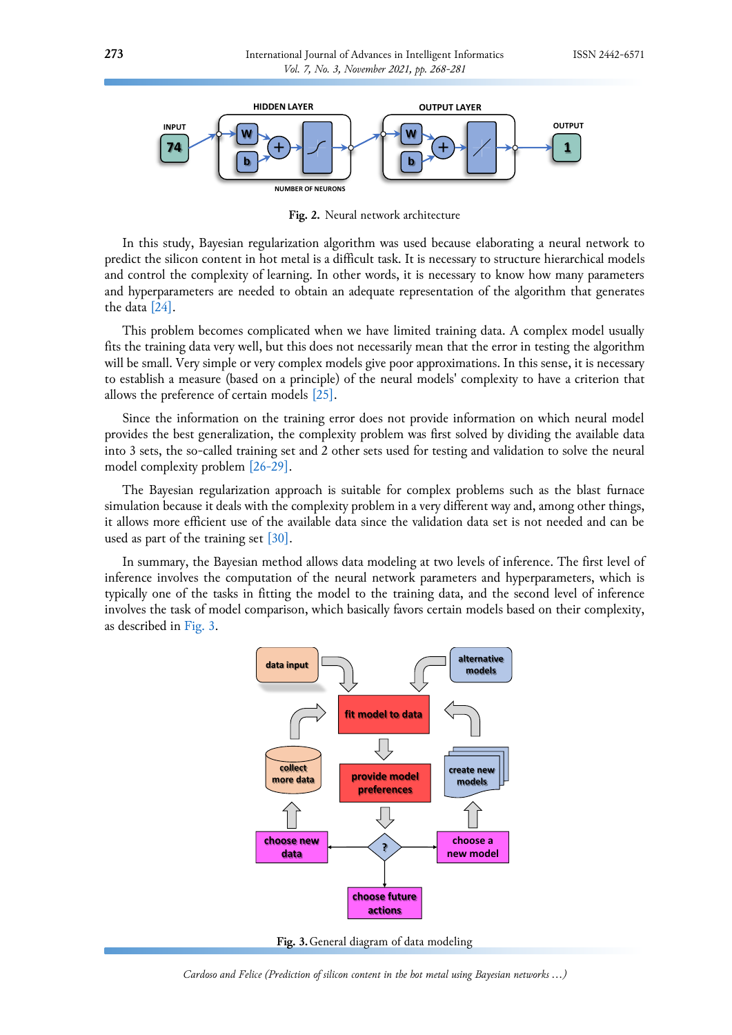<span id="page-5-0"></span>

**Fig. 2.** Neural network architecture

In this study, Bayesian regularization algorithm was used because elaborating a neural network to predict the silicon content in hot metal is a difficult task. It is necessary to structure hierarchical models and control the complexity of learning. In other words, it is necessary to know how many parameters and hyperparameters are needed to obtain an adequate representation of the algorithm that generates the data [\[24\].](#page-11-4)

This problem becomes complicated when we have limited training data. A complex model usually fits the training data very well, but this does not necessarily mean that the error in testing the algorithm will be small. Very simple or very complex models give poor approximations. In this sense, it is necessary to establish a measure (based on a principle) of the neural models' complexity to have a criterion that allows the preference of certain models [\[25\].](#page-11-5)

Since the information on the training error does not provide information on which neural model provides the best generalization, the complexity problem was first solved by dividing the available data into 3 sets, the so-called training set and 2 other sets used for testing and validation to solve the neural model complexity problem [\[26-29\].](#page-11-6)

The Bayesian regularization approach is suitable for complex problems such as the blast furnace simulation because it deals with the complexity problem in a very different way and, among other things, it allows more efficient use of the available data since the validation data set is not needed and can be used as part of the training set [\[30\].](#page-12-0)

<span id="page-5-1"></span>In summary, the Bayesian method allows data modeling at two levels of inference. The first level of inference involves the computation of the neural network parameters and hyperparameters, which is typically one of the tasks in fitting the model to the training data, and the second level of inference involves the task of model comparison, which basically favors certain models based on their complexity, as described in [Fig. 3.](#page-5-1)



**Fig. 3.**General diagram of data modeling

*Cardoso and Felice (Prediction of silicon content in the hot metal using Bayesian networks …)*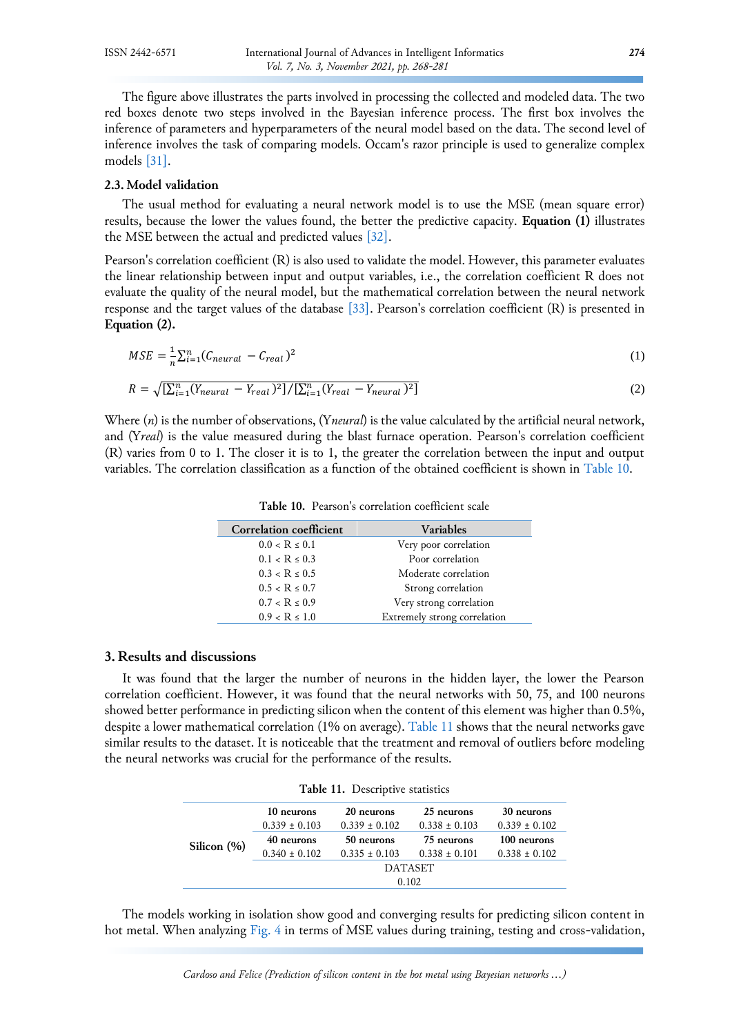The figure above illustrates the parts involved in processing the collected and modeled data. The two red boxes denote two steps involved in the Bayesian inference process. The first box involves the inference of parameters and hyperparameters of the neural model based on the data. The second level of inference involves the task of comparing models. Occam's razor principle is used to generalize complex models [\[31\].](#page-12-1)

## **2.3. Model validation**

The usual method for evaluating a neural network model is to use the MSE (mean square error) results, because the lower the values found, the better the predictive capacity. **Equation (1)** illustrates the MSE between the actual and predicted values [\[32\].](#page-12-2)

Pearson's correlation coefficient (R) is also used to validate the model. However, this parameter evaluates the linear relationship between input and output variables, i.e., the correlation coefficient R does not evaluate the quality of the neural model, but the mathematical correlation between the neural network response and the target values of the database [\[33\].](#page-12-3) Pearson's correlation coefficient (R) is presented in **Equation (2).**

$$
MSE = \frac{1}{n} \sum_{i=1}^{n} (C_{neutral} - C_{real})^2
$$
 (1)

$$
R = \sqrt{\left[\sum_{i=1}^{n} (Y_{neural} - Y_{real})^2\right] / \left[\sum_{i=1}^{n} (Y_{real} - Y_{neural})^2\right]}
$$
(2)

<span id="page-6-0"></span>Where (*n*) is the number of observations, (Y*neural*) is the value calculated by the artificial neural network, and (Y*real*) is the value measured during the blast furnace operation. Pearson's correlation coefficient (R) varies from 0 to 1. The closer it is to 1, the greater the correlation between the input and output variables. The correlation classification as a function of the obtained coefficient is shown in [Table 10.](#page-6-0)

| Correlation coefficient | <b>Variables</b>             |
|-------------------------|------------------------------|
| $0.0 < R \leq 0.1$      | Very poor correlation        |
| $0.1 < R \leq 0.3$      | Poor correlation             |
| $0.3 < R \le 0.5$       | Moderate correlation         |
| $0.5 < R \leq 0.7$      | Strong correlation           |
| $0.7 < R \le 0.9$       | Very strong correlation      |
| $0.9 < R \le 1.0$       | Extremely strong correlation |

**Table 10.** Pearson's correlation coefficient scale

# **3. Results and discussions**

It was found that the larger the number of neurons in the hidden layer, the lower the Pearson correlation coefficient. However, it was found that the neural networks with 50, 75, and 100 neurons showed better performance in predicting silicon when the content of this element was higher than 0.5%, despite a lower mathematical correlation (1% on average). [Table 11](#page-6-1) shows that the neural networks gave similar results to the dataset. It is noticeable that the treatment and removal of outliers before modeling the neural networks was crucial for the performance of the results.

|  | Table 11. Descriptive statistics |  |
|--|----------------------------------|--|
|--|----------------------------------|--|

<span id="page-6-1"></span>

|             | 10 neurons        | 20 neurons        | 25 neurons        | 30 neurons        |  |
|-------------|-------------------|-------------------|-------------------|-------------------|--|
| Silicon (%) | $0.339 \pm 0.103$ | $0.339 \pm 0.102$ | $0.338 \pm 0.103$ | $0.339 \pm 0.102$ |  |
|             | 40 neurons        | 50 neurons        | 75 neurons        | 100 neurons       |  |
|             | $0.340 \pm 0.102$ | $0.335 \pm 0.103$ | $0.338 \pm 0.101$ | $0.338 \pm 0.102$ |  |
|             | <b>DATASET</b>    |                   |                   |                   |  |
|             | 0.102             |                   |                   |                   |  |

The models working in isolation show good and converging results for predicting silicon content in hot metal. When analyzing [Fig. 4](#page-7-0) in terms of MSE values during training, testing and cross-validation,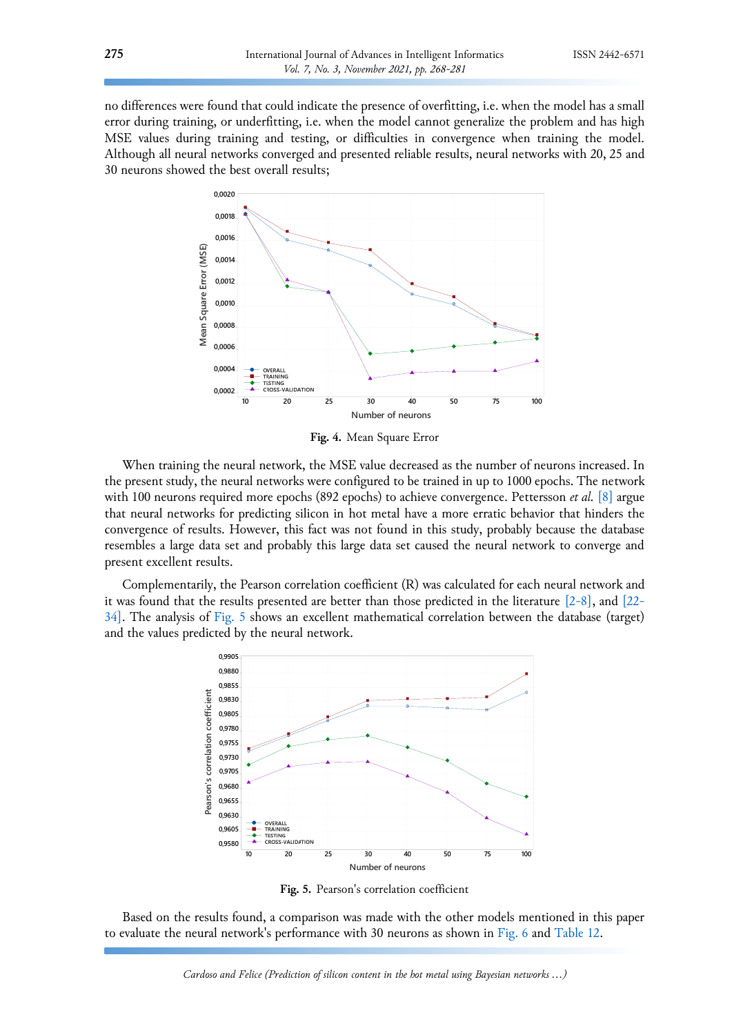<span id="page-7-0"></span>no differences were found that could indicate the presence of overfitting, i.e. when the model has a small error during training, or underfitting, i.e. when the model cannot generalize the problem and has high MSE values during training and testing, or difficulties in convergence when training the model. Although all neural networks converged and presented reliable results, neural networks with 20, 25 and 30 neurons showed the best overall results;



**Fig. 4.** Mean Square Error

When training the neural network, the MSE value decreased as the number of neurons increased. In the present study, the neural networks were configured to be trained in up to 1000 epochs. The network with 100 neurons required more epochs (892 epochs) to achieve convergence. Pettersson *et al.* [\[8\]](#page-10-5) argue that neural networks for predicting silicon in hot metal have a more erratic behavior that hinders the convergence of results. However, this fact was not found in this study, probably because the database resembles a large data set and probably this large data set caused the neural network to converge and present excellent results.

<span id="page-7-1"></span>Complementarily, the Pearson correlation coefficient (R) was calculated for each neural network and it was found that the results presented are better than those predicted in the literature [\[2-8\],](#page-10-6) and [\[22-](#page-11-7) [34\].](#page-11-7) The analysis of [Fig. 5](#page-7-1) shows an excellent mathematical correlation between the database (target) and the values predicted by the neural network.



**Fig. 5.** Pearson's correlation coefficient

Based on the results found, a comparison was made with the other models mentioned in this paper to evaluate the neural network's performance with 30 neurons as shown i[n Fig. 6](#page-8-0) and [Table 12.](#page-8-1)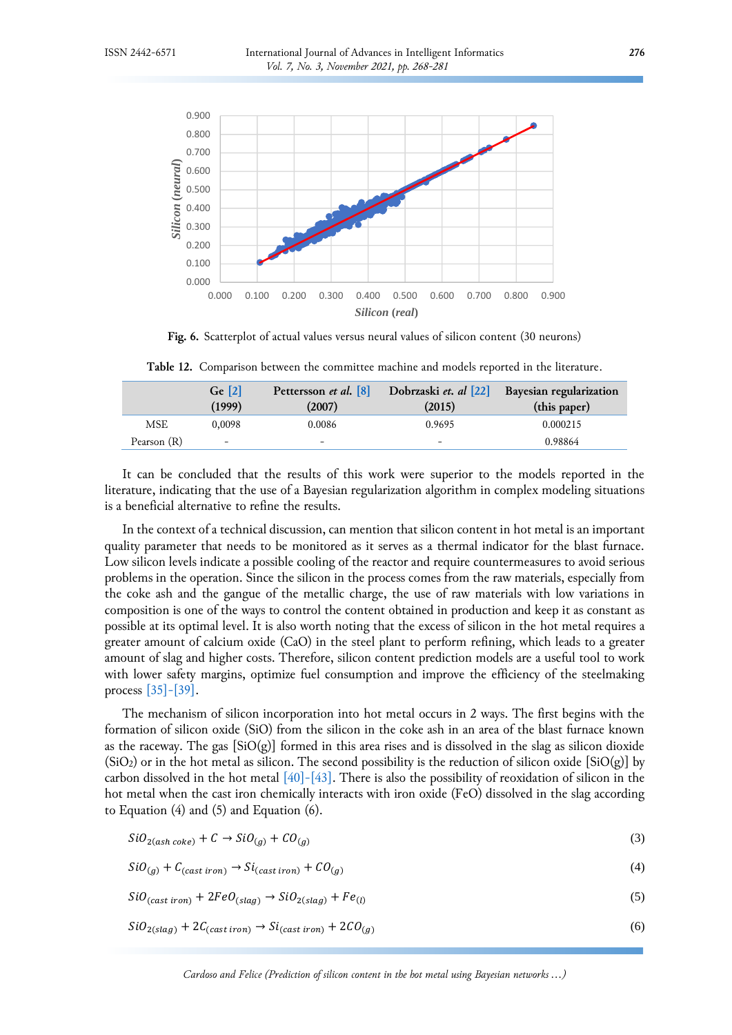<span id="page-8-0"></span>

**Fig. 6.** Scatterplot of actual values versus neural values of silicon content (30 neurons)

<span id="page-8-1"></span>

|             | Ge <sub>121</sub><br>(1999) | Pettersson et al. [8]<br>(2007) | Dobrzaski et. al [22]<br>(2015) | Bayesian regularization<br>(this paper) |
|-------------|-----------------------------|---------------------------------|---------------------------------|-----------------------------------------|
| MSE         | 0.0098                      | 0.0086                          | 0.9695                          | 0.000215                                |
| Pearson (R) | $\overline{\phantom{0}}$    | $\overline{\phantom{0}}$        | -                               | 0.98864                                 |

**Table 12.** Comparison between the committee machine and models reported in the literature.

It can be concluded that the results of this work were superior to the models reported in the literature, indicating that the use of a Bayesian regularization algorithm in complex modeling situations is a beneficial alternative to refine the results.

In the context of a technical discussion, can mention that silicon content in hot metal is an important quality parameter that needs to be monitored as it serves as a thermal indicator for the blast furnace. Low silicon levels indicate a possible cooling of the reactor and require countermeasures to avoid serious problems in the operation. Since the silicon in the process comes from the raw materials, especially from the coke ash and the gangue of the metallic charge, the use of raw materials with low variations in composition is one of the ways to control the content obtained in production and keep it as constant as possible at its optimal level. It is also worth noting that the excess of silicon in the hot metal requires a greater amount of calcium oxide (CaO) in the steel plant to perform refining, which leads to a greater amount of slag and higher costs. Therefore, silicon content prediction models are a useful tool to work with lower safety margins, optimize fuel consumption and improve the efficiency of the steelmaking process [\[35\]-\[39\].](#page-12-4)

The mechanism of silicon incorporation into hot metal occurs in 2 ways. The first begins with the formation of silicon oxide (SiO) from the silicon in the coke ash in an area of the blast furnace known as the raceway. The gas  $[SiO(g)]$  formed in this area rises and is dissolved in the slag as silicon dioxide  $(SiO<sub>2</sub>)$  or in the hot metal as silicon. The second possibility is the reduction of silicon oxide  $[SiO(g)]$  by carbon dissolved in the hot metal  $[40]$ - $[43]$ . There is also the possibility of reoxidation of silicon in the hot metal when the cast iron chemically interacts with iron oxide (FeO) dissolved in the slag according to Equation  $(4)$  and  $(5)$  and Equation  $(6)$ .

$$
SiO_{2(ash\,coke)} + C \rightarrow SiO_{(g)} + CO_{(g)}
$$
\n
$$
\tag{3}
$$

$$
SiO_{(g)} + C_{(cast\ iron)} \rightarrow Si_{(cast\ iron)} + CO_{(g)}
$$
\n
$$
(4)
$$

 $SiO_{(cast\ iron)} + 2FeO_{(slag)} \rightarrow SiO_{2(slag)} + Fe_{(l)}$ (5)

 $SiO_{2(slag)} + 2C_{(cast iron)} \rightarrow Si_{(cast iron)} + 2CO_{(g)}$ (6)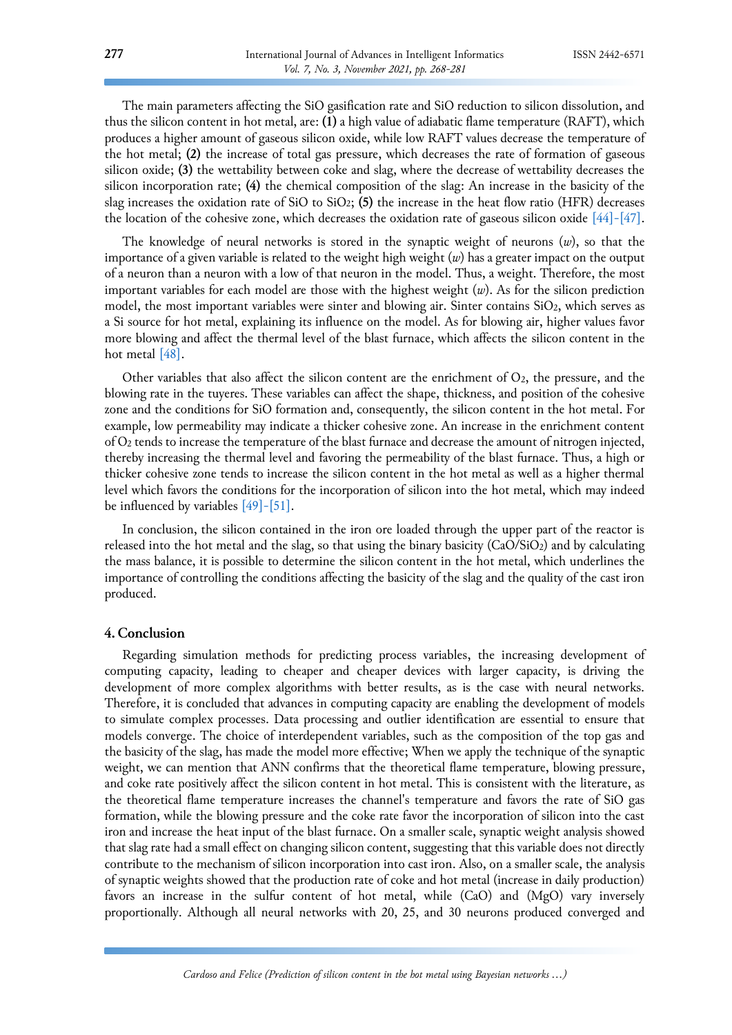The main parameters affecting the SiO gasification rate and SiO reduction to silicon dissolution, and thus the silicon content in hot metal, are: **(1)** a high value of adiabatic flame temperature (RAFT), which produces a higher amount of gaseous silicon oxide, while low RAFT values decrease the temperature of the hot metal; **(2)** the increase of total gas pressure, which decreases the rate of formation of gaseous silicon oxide; **(3)** the wettability between coke and slag, where the decrease of wettability decreases the silicon incorporation rate; **(4)** the chemical composition of the slag: An increase in the basicity of the slag increases the oxidation rate of SiO to SiO2; **(5)** the increase in the heat flow ratio (HFR) decreases the location of the cohesive zone, which decreases the oxidation rate of gaseous silicon oxide  $[44]$ - $[47]$ .

The knowledge of neural networks is stored in the synaptic weight of neurons (*w*), so that the importance of a given variable is related to the weight high weight (*w*) has a greater impact on the output of a neuron than a neuron with a low of that neuron in the model. Thus, a weight. Therefore, the most important variables for each model are those with the highest weight (*w*). As for the silicon prediction model, the most important variables were sinter and blowing air. Sinter contains SiO2, which serves as a Si source for hot metal, explaining its influence on the model. As for blowing air, higher values favor more blowing and affect the thermal level of the blast furnace, which affects the silicon content in the hot metal [\[48\].](#page-13-0)

Other variables that also affect the silicon content are the enrichment of  $O_2$ , the pressure, and the blowing rate in the tuyeres. These variables can affect the shape, thickness, and position of the cohesive zone and the conditions for SiO formation and, consequently, the silicon content in the hot metal. For example, low permeability may indicate a thicker cohesive zone. An increase in the enrichment content of O<sup>2</sup> tends to increase the temperature of the blast furnace and decrease the amount of nitrogen injected, thereby increasing the thermal level and favoring the permeability of the blast furnace. Thus, a high or thicker cohesive zone tends to increase the silicon content in the hot metal as well as a higher thermal level which favors the conditions for the incorporation of silicon into the hot metal, which may indeed be influenced by variables  $[49]$ - $[51]$ .

In conclusion, the silicon contained in the iron ore loaded through the upper part of the reactor is released into the hot metal and the slag, so that using the binary basicity (CaO/SiO2) and by calculating the mass balance, it is possible to determine the silicon content in the hot metal, which underlines the importance of controlling the conditions affecting the basicity of the slag and the quality of the cast iron produced.

# **4. Conclusion**

Regarding simulation methods for predicting process variables, the increasing development of computing capacity, leading to cheaper and cheaper devices with larger capacity, is driving the development of more complex algorithms with better results, as is the case with neural networks. Therefore, it is concluded that advances in computing capacity are enabling the development of models to simulate complex processes. Data processing and outlier identification are essential to ensure that models converge. The choice of interdependent variables, such as the composition of the top gas and the basicity of the slag, has made the model more effective; When we apply the technique of the synaptic weight, we can mention that ANN confirms that the theoretical flame temperature, blowing pressure, and coke rate positively affect the silicon content in hot metal. This is consistent with the literature, as the theoretical flame temperature increases the channel's temperature and favors the rate of SiO gas formation, while the blowing pressure and the coke rate favor the incorporation of silicon into the cast iron and increase the heat input of the blast furnace. On a smaller scale, synaptic weight analysis showed that slag rate had a small effect on changing silicon content, suggesting that this variable does not directly contribute to the mechanism of silicon incorporation into cast iron. Also, on a smaller scale, the analysis of synaptic weights showed that the production rate of coke and hot metal (increase in daily production) favors an increase in the sulfur content of hot metal, while (CaO) and (MgO) vary inversely proportionally. Although all neural networks with 20, 25, and 30 neurons produced converged and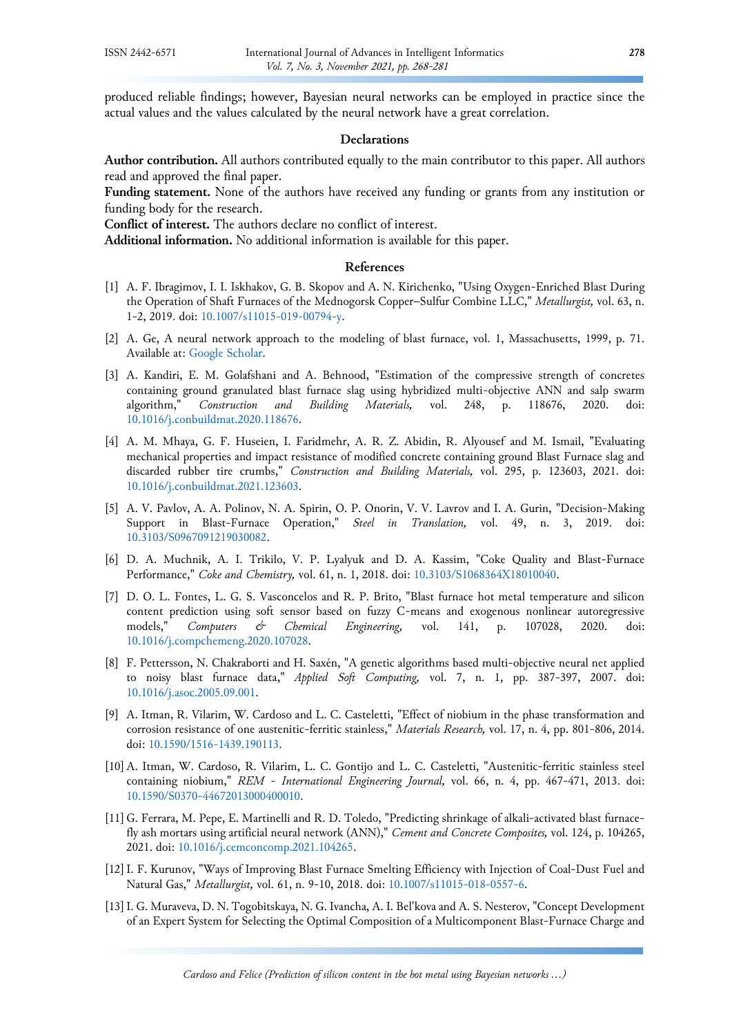produced reliable findings; however, Bayesian neural networks can be employed in practice since the actual values and the values calculated by the neural network have a great correlation.

# **Declarations**

**Author contribution.** All authors contributed equally to the main contributor to this paper. All authors read and approved the final paper.

**Funding statement.** None of the authors have received any funding or grants from any institution or funding body for the research.

**Conflict of interest.** The authors declare no conflict of interest.

**Additional information.** No additional information is available for this paper.

# **References**

- <span id="page-10-0"></span>[1] A. F. Ibragimov, I. I. Iskhakov, G. B. Skopov and A. N. Kirichenko, "Using Oxygen-Enriched Blast During the Operation of Shaft Furnaces of the Mednogorsk Copper–Sulfur Combine LLC," *Metallurgist,* vol. 63, n. 1-2, 2019. doi: [10.1007/s11015-019-00794-y.](https://doi.org/10.1007/s11015-019-00794-y)
- <span id="page-10-6"></span>[2] A. Ge, A neural network approach to the modeling of blast furnace, vol. 1, Massachusetts, 1999, p. 71. Available at: [Google Scholar.](https://scholar.google.com/scholar?hl=en&as_sdt=0%2C5&q=A+neural+network+approach+to+the+modeling+of+blast+furnace&btnG=)
- [3] A. Kandiri, E. M. Golafshani and A. Behnood, "Estimation of the compressive strength of concretes containing ground granulated blast furnace slag using hybridized multi-objective ANN and salp swarm algorithm," *Construction and Building Materials,* vol. 248, p. 118676, 2020. doi: [10.1016/j.conbuildmat.2020.118676.](https://doi.org/10.1016/j.conbuildmat.2020.118676)
- [4] A. M. Mhaya, G. F. Huseien, I. Faridmehr, A. R. Z. Abidin, R. Alyousef and M. Ismail, "Evaluating mechanical properties and impact resistance of modified concrete containing ground Blast Furnace slag and discarded rubber tire crumbs," *Construction and Building Materials,* vol. 295, p. 123603, 2021. doi: [10.1016/j.conbuildmat.2021.123603.](https://doi.org/10.1016/j.conbuildmat.2021.123603)
- <span id="page-10-1"></span>[5] A. V. Pavlov, A. A. Polinov, N. A. Spirin, O. P. Onorin, V. V. Lavrov and I. A. Gurin, "Decision-Making Support in Blast-Furnace Operation," *Steel in Translation,* vol. 49, n. 3, 2019. doi: [10.3103/S0967091219030082.](https://doi.org/10.3103/S0967091219030082)
- [6] D. A. Muchnik, A. I. Trikilo, V. P. Lyalyuk and D. A. Kassim, "Coke Quality and Blast-Furnace Performance," *Coke and Chemistry,* vol. 61, n. 1, 2018. doi: [10.3103/S1068364X18010040.](https://doi.org/10.3103/S1068364X18010040)
- [7] D. O. L. Fontes, L. G. S. Vasconcelos and R. P. Brito, "Blast furnace hot metal temperature and silicon content prediction using soft sensor based on fuzzy C-means and exogenous nonlinear autoregressive models," *Computers & Chemical Engineering,* vol. 141, p. 107028, 2020. doi: [10.1016/j.compchemeng.2020.107028.](https://doi.org/10.1016/j.compchemeng.2020.107028)
- <span id="page-10-5"></span>[8] F. Pettersson, N. Chakraborti and H. Saxén, "A genetic algorithms based multi-objective neural net applied to noisy blast furnace data," *Applied Soft Computing,* vol. 7, n. 1, pp. 387-397, 2007. doi: [10.1016/j.asoc.2005.09.001.](https://doi.org/10.1016/j.asoc.2005.09.001)
- <span id="page-10-2"></span>[9] A. Itman, R. Vilarim, W. Cardoso and L. C. Casteletti, "Effect of niobium in the phase transformation and corrosion resistance of one austenitic-ferritic stainless," *Materials Research,* vol. 17, n. 4, pp. 801-806, 2014. doi: [10.1590/1516-1439.190113.](https://doi.org/10.1590/1516-1439.190113)
- <span id="page-10-3"></span>[10]A. Itman, W. Cardoso, R. Vilarim, L. C. Gontijo and L. C. Casteletti, "Austenitic-ferritic stainless steel containing niobium," *REM - International Engineering Journal,* vol. 66, n. 4, pp. 467-471, 2013. doi: [10.1590/S0370-44672013000400010.](https://doi.org/10.1590/S0370-44672013000400010)
- <span id="page-10-4"></span>[11] G. Ferrara, M. Pepe, E. Martinelli and R. D. Toledo, "Predicting shrinkage of alkali-activated blast furnacefly ash mortars using artificial neural network (ANN)," *Cement and Concrete Composites,* vol. 124, p. 104265, 2021. doi: [10.1016/j.cemconcomp.2021.104265.](https://doi.org/10.1016/j.cemconcomp.2021.104265)
- [12]I. F. Kurunov, "Ways of Improving Blast Furnace Smelting Efficiency with Injection of Coal-Dust Fuel and Natural Gas," *Metallurgist,* vol. 61, n. 9-10, 2018. doi: [10.1007/s11015-018-0557-6.](https://doi.org/10.1007/s11015-018-0557-6)
- [13]I. G. Muraveva, D. N. Togobitskaya, N. G. Ivancha, A. I. Bel'kova and A. S. Nesterov, "Concept Development of an Expert System for Selecting the Optimal Composition of a Multicomponent Blast-Furnace Charge and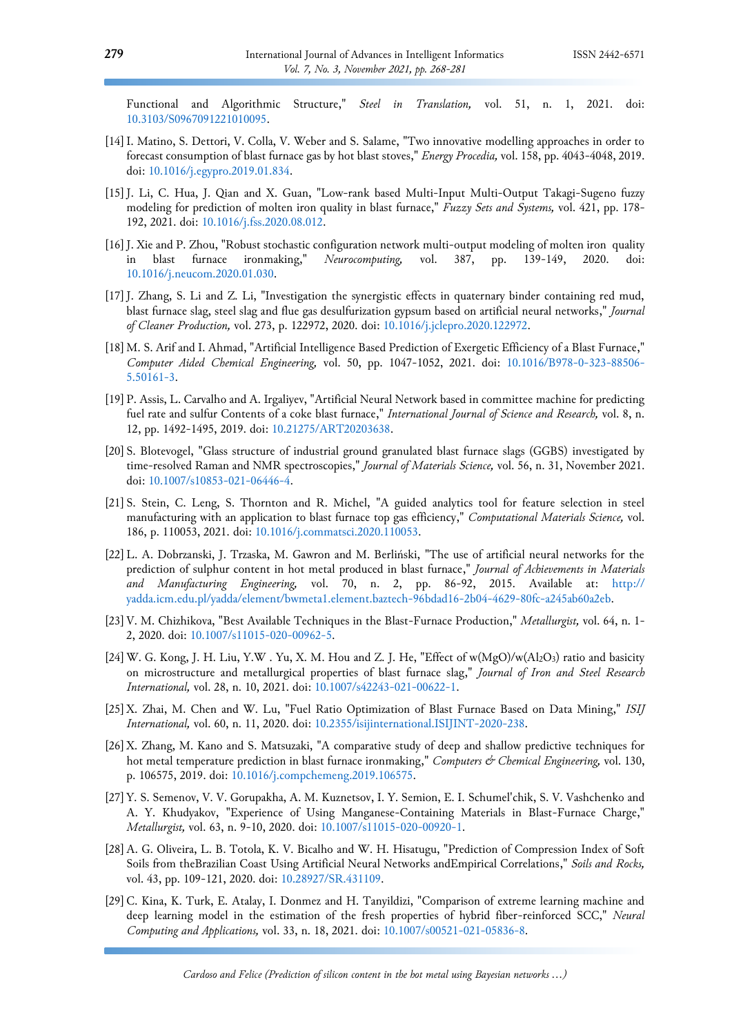Functional and Algorithmic Structure," *Steel in Translation,* vol. 51, n. 1, 2021. doi: [10.3103/S0967091221010095.](https://doi.org/10.3103/S0967091221010095)

- [14]I. Matino, S. Dettori, V. Colla, V. Weber and S. Salame, "Two innovative modelling approaches in order to forecast consumption of blast furnace gas by hot blast stoves," *Energy Procedia,* vol. 158, pp. 4043-4048, 2019. doi: [10.1016/j.egypro.2019.01.834.](https://doi.org/10.1016/j.egypro.2019.01.834)
- <span id="page-11-1"></span>[15]J. Li, C. Hua, J. Qian and X. Guan, "Low-rank based Multi-Input Multi-Output Takagi-Sugeno fuzzy modeling for prediction of molten iron quality in blast furnace," *Fuzzy Sets and Systems,* vol. 421, pp. 178- 192, 2021. doi: [10.1016/j.fss.2020.08.012.](https://doi.org/10.1016/j.fss.2020.08.012)
- <span id="page-11-2"></span>[16]J. Xie and P. Zhou, "Robust stochastic configuration network multi-output modeling of molten iron quality in blast furnace ironmaking," *Neurocomputing,* vol. 387, pp. 139-149, 2020. doi: [10.1016/j.neucom.2020.01.030.](https://doi.org/10.1016/j.neucom.2020.01.030)
- <span id="page-11-0"></span>[17]J. Zhang, S. Li and Z. Li, "Investigation the synergistic effects in quaternary binder containing red mud, blast furnace slag, steel slag and flue gas desulfurization gypsum based on artificial neural networks," *Journal of Cleaner Production,* vol. 273, p. 122972, 2020. doi: [10.1016/j.jclepro.2020.122972.](https://doi.org/10.1016/j.jclepro.2020.122972)
- [18]M. S. Arif and I. Ahmad, "Artificial Intelligence Based Prediction of Exergetic Efficiency of a Blast Furnace," *Computer Aided Chemical Engineering,* vol. 50, pp. 1047-1052, 2021. doi: [10.1016/B978-0-323-88506-](https://doi.org/10.1016/B978-0-323-88506-5.50161-3) [5.50161-3.](https://doi.org/10.1016/B978-0-323-88506-5.50161-3)
- [19] P. Assis, L. Carvalho and A. Irgaliyev, "Artificial Neural Network based in committee machine for predicting fuel rate and sulfur Contents of a coke blast furnace," *International Journal of Science and Research,* vol. 8, n. 12, pp. 1492-1495, 2019. doi: [10.21275/ART20203638.](https://doi.org/10.21275/ART20203638)
- [20] S. Blotevogel, "Glass structure of industrial ground granulated blast furnace slags (GGBS) investigated by time-resolved Raman and NMR spectroscopies," *Journal of Materials Science,* vol. 56, n. 31, November 2021. doi: [10.1007/s10853-021-06446-4.](https://doi.org/10.1007/s10853-021-06446-4)
- [21] S. Stein, C. Leng, S. Thornton and R. Michel, "A guided analytics tool for feature selection in steel manufacturing with an application to blast furnace top gas efficiency," *Computational Materials Science,* vol. 186, p. 110053, 2021. doi: [10.1016/j.commatsci.2020.110053.](https://doi.org/10.1016/j.commatsci.2020.110053)
- <span id="page-11-7"></span>[22]L. A. Dobrzanski, J. Trzaska, M. Gawron and M. Berliński, "The use of artificial neural networks for the prediction of sulphur content in hot metal produced in blast furnace," *Journal of Achievements in Materials and Manufacturing Engineering,* vol. 70, n. 2, pp. 86-92, 2015. Available at: http:// yadda.icm.edu.pl/yadda/element/bwmeta1.element.baztech-96bdad16-2b04-4629-80fc-a245ab60a2eb.
- <span id="page-11-3"></span>[23]V. M. Chizhikova, "Best Available Techniques in the Blast-Furnace Production," *Metallurgist,* vol. 64, n. 1- 2, 2020. doi: [10.1007/s11015-020-00962-5.](https://doi.org/10.1007/s11015-020-00962-5)
- <span id="page-11-4"></span>[24]W. G. Kong, J. H. Liu, Y.W . Yu, X. M. Hou and Z. J. He, "Effect of w(MgO)/w(Al2O3) ratio and basicity on microstructure and metallurgical properties of blast furnace slag," *Journal of Iron and Steel Research International,* vol. 28, n. 10, 2021. doi: [10.1007/s42243-021-00622-1.](https://doi.org/10.1007/s42243-021-00622-1)
- <span id="page-11-5"></span>[25]X. Zhai, M. Chen and W. Lu, "Fuel Ratio Optimization of Blast Furnace Based on Data Mining," *ISIJ International,* vol. 60, n. 11, 2020. doi: [10.2355/isijinternational.ISIJINT-2020-238.](https://doi.org/10.2355/isijinternational.ISIJINT-2020-238)
- <span id="page-11-6"></span>[26]X. Zhang, M. Kano and S. Matsuzaki, "A comparative study of deep and shallow predictive techniques for hot metal temperature prediction in blast furnace ironmaking," *Computers & Chemical Engineering,* vol. 130, p. 106575, 2019. doi: [10.1016/j.compchemeng.2019.106575.](https://doi.org/10.1016/j.compchemeng.2019.106575)
- [27]Y. S. Semenov, V. V. Gorupakha, A. M. Kuznetsov, I. Y. Semion, E. I. Schumel'chik, S. V. Vashchenko and A. Y. Khudyakov, "Experience of Using Manganese-Containing Materials in Blast-Furnace Charge," *Metallurgist,* vol. 63, n. 9-10, 2020. doi: [10.1007/s11015-020-00920-1.](https://doi.org/10.1007/s11015-020-00920-1)
- [28]A. G. Oliveira, L. B. Totola, K. V. Bicalho and W. H. Hisatugu, "Prediction of Compression Index of Soft Soils from theBrazilian Coast Using Artificial Neural Networks andEmpirical Correlations," *Soils and Rocks,*  vol. 43, pp. 109-121, 2020. doi: [10.28927/SR.431109.](https://doi.org/10.28927/SR.431109)
- [29]C. Kina, K. Turk, E. Atalay, I. Donmez and H. Tanyildizi, "Comparison of extreme learning machine and deep learning model in the estimation of the fresh properties of hybrid fiber-reinforced SCC," *Neural Computing and Applications,* vol. 33, n. 18, 2021. doi: [10.1007/s00521-021-05836-8.](https://doi.org/10.1007/s00521-021-05836-8)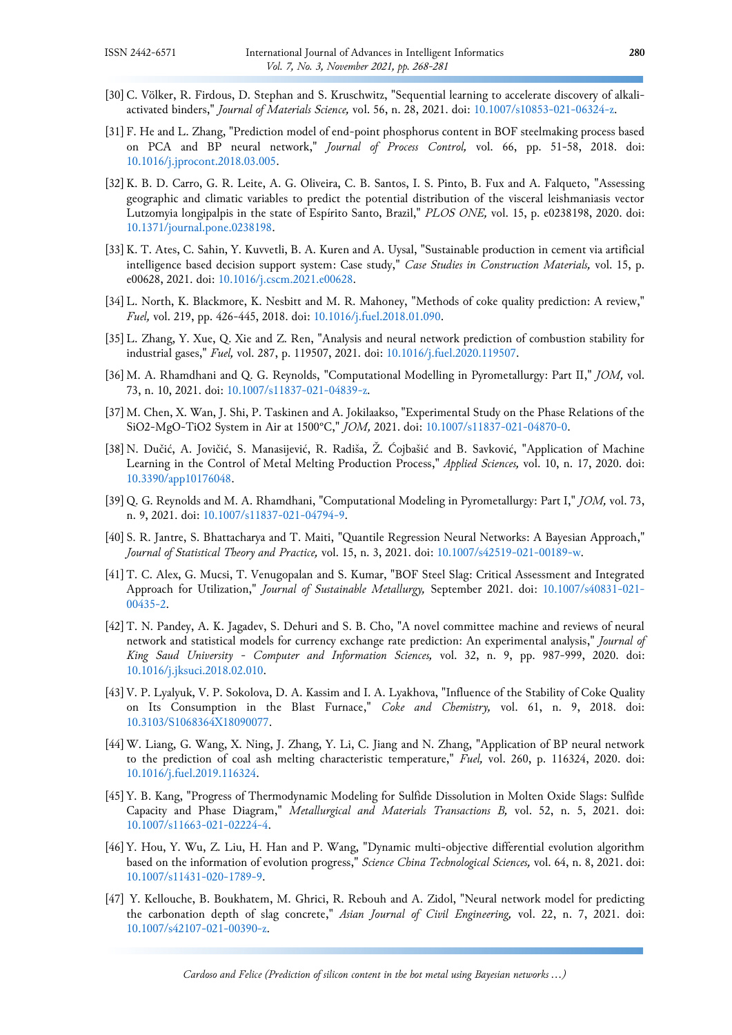- <span id="page-12-0"></span>[30] C. Völker, R. Firdous, D. Stephan and S. Kruschwitz, "Sequential learning to accelerate discovery of alkaliactivated binders," *Journal of Materials Science,* vol. 56, n. 28, 2021. doi: [10.1007/s10853-021-06324-z.](https://doi.org/10.1007/s10853-021-06324-z)
- <span id="page-12-1"></span>[31] F. He and L. Zhang, "Prediction model of end-point phosphorus content in BOF steelmaking process based on PCA and BP neural network," *Journal of Process Control,* vol. 66, pp. 51-58, 2018. doi: [10.1016/j.jprocont.2018.03.005.](https://doi.org/10.1016/j.jprocont.2018.03.005)
- <span id="page-12-2"></span>[32]K. B. D. Carro, G. R. Leite, A. G. Oliveira, C. B. Santos, I. S. Pinto, B. Fux and A. Falqueto, "Assessing geographic and climatic variables to predict the potential distribution of the visceral leishmaniasis vector Lutzomyia longipalpis in the state of Espı́rito Santo, Brazil," *PLOS ONE,* vol. 15, p. e0238198, 2020. doi: [10.1371/journal.pone.0238198.](https://doi.org/10.1371/journal.pone.0238198)
- <span id="page-12-3"></span>[33]K. T. Ates, C. Sahin, Y. Kuvvetli, B. A. Kuren and A. Uysal, "Sustainable production in cement via artificial intelligence based decision support system: Case study," *Case Studies in Construction Materials,* vol. 15, p. e00628, 2021. doi: [10.1016/j.cscm.2021.e00628.](https://doi.org/10.1016/j.cscm.2021.e00628)
- [34]L. North, K. Blackmore, K. Nesbitt and M. R. Mahoney, "Methods of coke quality prediction: A review," *Fuel,* vol. 219, pp. 426-445, 2018. doi: [10.1016/j.fuel.2018.01.090.](https://doi.org/10.1016/j.fuel.2018.01.090)
- <span id="page-12-4"></span>[35]L. Zhang, Y. Xue, Q. Xie and Z. Ren, "Analysis and neural network prediction of combustion stability for industrial gases," *Fuel,* vol. 287, p. 119507, 2021. doi: [10.1016/j.fuel.2020.119507.](https://doi.org/10.1016/j.fuel.2020.119507)
- [36]M. A. Rhamdhani and Q. G. Reynolds, "Computational Modelling in Pyrometallurgy: Part II," *JOM,* vol. 73, n. 10, 2021. doi: [10.1007/s11837-021-04839-z.](https://doi.org/10.1007/s11837-021-04839-z)
- [37]M. Chen, X. Wan, J. Shi, P. Taskinen and A. Jokilaakso, "Experimental Study on the Phase Relations of the SiO2-MgO-TiO2 System in Air at 1500°C," *JOM,* 2021. doi: [10.1007/s11837-021-04870-0.](https://doi.org/10.1007/s11837-021-04870-0)
- [38] N. Dučić, A. Jovičić, S. Manasijević, R. Radiša, Ž. Ćojbašić and B. Savković, "Application of Machine Learning in the Control of Metal Melting Production Process," *Applied Sciences,* vol. 10, n. 17, 2020. doi: [10.3390/app10176048.](https://doi.org/10.3390/app10176048)
- [39] Q. G. Reynolds and M. A. Rhamdhani, "Computational Modeling in Pyrometallurgy: Part I," *JOM,* vol. 73, n. 9, 2021. doi: [10.1007/s11837-021-04794-9.](https://doi.org/10.1007/s11837-021-04794-9)
- <span id="page-12-5"></span>[40] S. R. Jantre, S. Bhattacharya and T. Maiti, "Quantile Regression Neural Networks: A Bayesian Approach," *Journal of Statistical Theory and Practice,* vol. 15, n. 3, 2021. doi: [10.1007/s42519-021-00189-w.](https://doi.org/10.1007/s42519-021-00189-w)
- [41]T. C. Alex, G. Mucsi, T. Venugopalan and S. Kumar, "BOF Steel Slag: Critical Assessment and Integrated Approach for Utilization," *Journal of Sustainable Metallurgy,* September 2021. doi: [10.1007/s40831-021-](https://doi.org/10.1007/s40831-021-00435-2) [00435-2.](https://doi.org/10.1007/s40831-021-00435-2)
- [42]T. N. Pandey, A. K. Jagadev, S. Dehuri and S. B. Cho, "A novel committee machine and reviews of neural network and statistical models for currency exchange rate prediction: An experimental analysis," *Journal of King Saud University - Computer and Information Sciences,* vol. 32, n. 9, pp. 987-999, 2020. doi: [10.1016/j.jksuci.2018.02.010.](https://doi.org/10.1016/j.jksuci.2018.02.010)
- [43]V. P. Lyalyuk, V. P. Sokolova, D. A. Kassim and I. A. Lyakhova, "Influence of the Stability of Coke Quality on Its Consumption in the Blast Furnace," *Coke and Chemistry,* vol. 61, n. 9, 2018. doi: [10.3103/S1068364X18090077.](https://doi.org/10.3103/S1068364X18090077)
- <span id="page-12-6"></span>[44] W. Liang, G. Wang, X. Ning, J. Zhang, Y. Li, C. Jiang and N. Zhang, "Application of BP neural network to the prediction of coal ash melting characteristic temperature," *Fuel,* vol. 260, p. 116324, 2020. doi: [10.1016/j.fuel.2019.116324.](https://doi.org/10.1016/j.fuel.2019.116324)
- [45]Y. B. Kang, "Progress of Thermodynamic Modeling for Sulfide Dissolution in Molten Oxide Slags: Sulfide Capacity and Phase Diagram," *Metallurgical and Materials Transactions B,* vol. 52, n. 5, 2021. doi: [10.1007/s11663-021-02224-4.](https://doi.org/10.1007/s11663-021-02224-4)
- [46]Y. Hou, Y. Wu, Z. Liu, H. Han and P. Wang, "Dynamic multi-objective differential evolution algorithm based on the information of evolution progress," *Science China Technological Sciences,* vol. 64, n. 8, 2021. doi: [10.1007/s11431-020-1789-9.](https://doi.org/10.1007/s11431-020-1789-9)
- [47] Y. Kellouche, B. Boukhatem, M. Ghrici, R. Rebouh and A. Zidol, "Neural network model for predicting the carbonation depth of slag concrete," *Asian Journal of Civil Engineering,* vol. 22, n. 7, 2021. doi: [10.1007/s42107-021-00390-z.](https://doi.org/10.1007/s42107-021-00390-z)